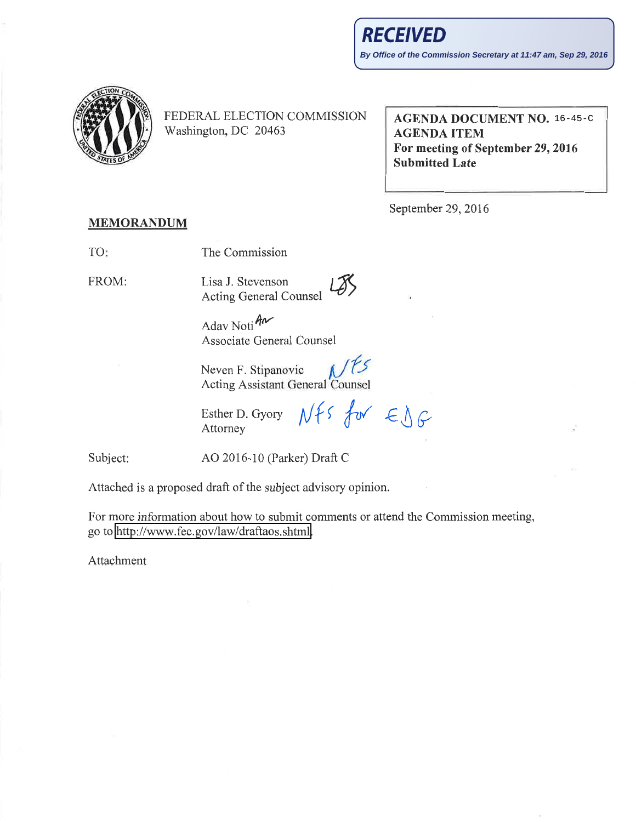

FEDERAL ELECTION COMMISSION Washington, DC 20463

AGENDA DOCUMENT NO. 16-45-CAGENDA ITEM For meeting of September29,2016 Submitted Late

September 29,2016

## MEMORANDUM

TO The Commission

FROM:

Lisa J. Stevenson Acting General Counsel  $L\overline{\mathcal{B}}$ 

Adav Noti Ar Associate General Counsel

Neven F. Stipanovic Acting Assistant General Counsel

Esther D. Gyory Attorney

 $Nfs$  for  $\in \mathcal{S}$ G

Subject: AO 2016-10 (Parker) Draft C

Attached is a proposed draft of the subject advisory opinion.

For more information about how to submit comments or attend the Commission meeting, go to http://www.fec.gov/law/draftaos.shtml.

Attachment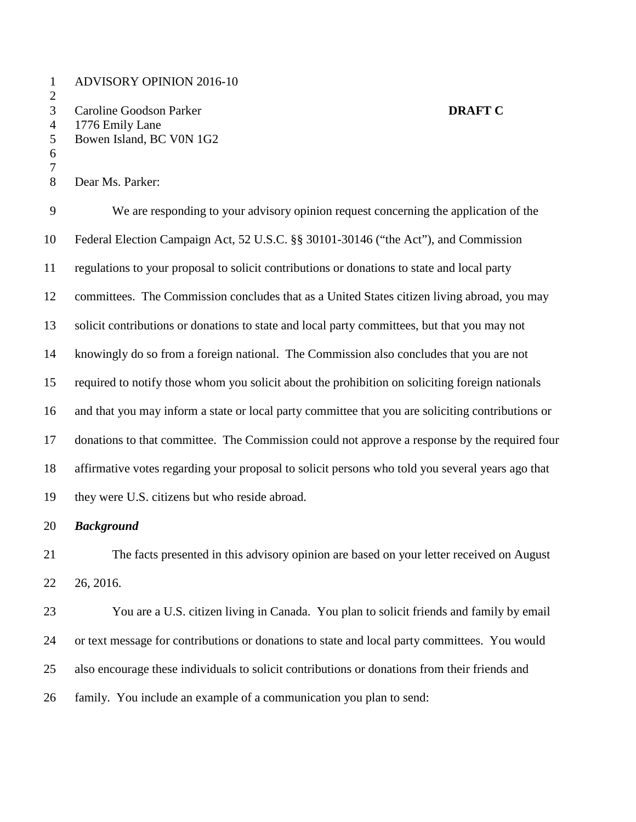ADVISORY OPINION 2016-10 Caroline Goodson Parker **DRAFT C** 1776 Emily Lane Bowen Island, BC V0N 1G2

Dear Ms. Parker:

 

 We are responding to your advisory opinion request concerning the application of the Federal Election Campaign Act, 52 U.S.C. §§ 30101-30146 ("the Act"), and Commission regulations to your proposal to solicit contributions or donations to state and local party committees. The Commission concludes that as a United States citizen living abroad, you may solicit contributions or donations to state and local party committees, but that you may not knowingly do so from a foreign national. The Commission also concludes that you are not required to notify those whom you solicit about the prohibition on soliciting foreign nationals and that you may inform a state or local party committee that you are soliciting contributions or donations to that committee. The Commission could not approve a response by the required four affirmative votes regarding your proposal to solicit persons who told you several years ago that they were U.S. citizens but who reside abroad.

## *Background*

 The facts presented in this advisory opinion are based on your letter received on August 26, 2016.

 You are a U.S. citizen living in Canada. You plan to solicit friends and family by email or text message for contributions or donations to state and local party committees. You would also encourage these individuals to solicit contributions or donations from their friends and family. You include an example of a communication you plan to send: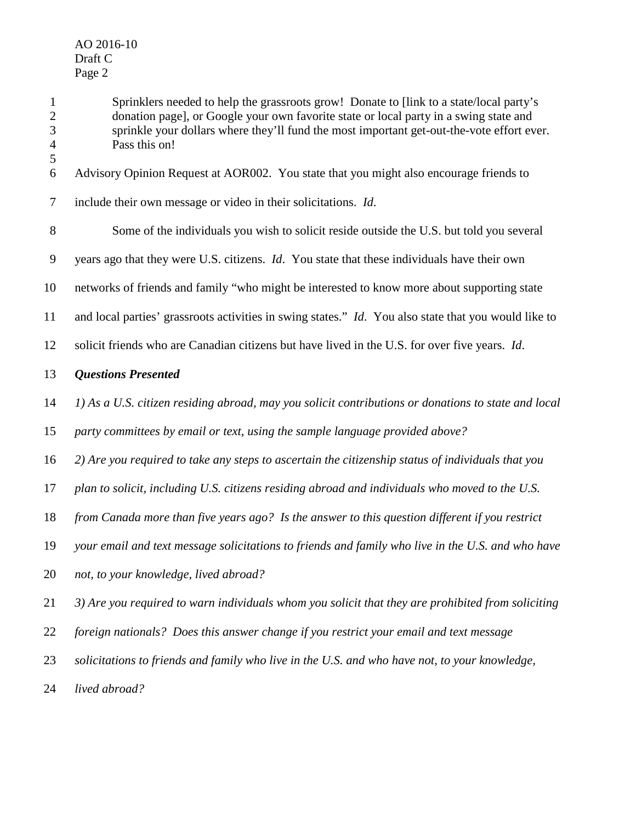Sprinklers needed to help the grassroots grow! Donate to [link to a state/local party's donation page], or Google your own favorite state or local party in a swing state and sprinkle your dollars where they'll fund the most important get-out-the-vote effort ever. Pass this on! Advisory Opinion Request at AOR002. You state that you might also encourage friends to include their own message or video in their solicitations. *Id*. Some of the individuals you wish to solicit reside outside the U.S. but told you several years ago that they were U.S. citizens. *Id*. You state that these individuals have their own networks of friends and family "who might be interested to know more about supporting state and local parties' grassroots activities in swing states." *Id*. You also state that you would like to solicit friends who are Canadian citizens but have lived in the U.S. for over five years. *Id*. *Questions Presented 1) As a U.S. citizen residing abroad, may you solicit contributions or donations to state and local party committees by email or text, using the sample language provided above? 2) Are you required to take any steps to ascertain the citizenship status of individuals that you plan to solicit, including U.S. citizens residing abroad and individuals who moved to the U.S. from Canada more than five years ago? Is the answer to this question different if you restrict your email and text message solicitations to friends and family who live in the U.S. and who have not, to your knowledge, lived abroad? 3) Are you required to warn individuals whom you solicit that they are prohibited from soliciting foreign nationals? Does this answer change if you restrict your email and text message solicitations to friends and family who live in the U.S. and who have not, to your knowledge, lived abroad?*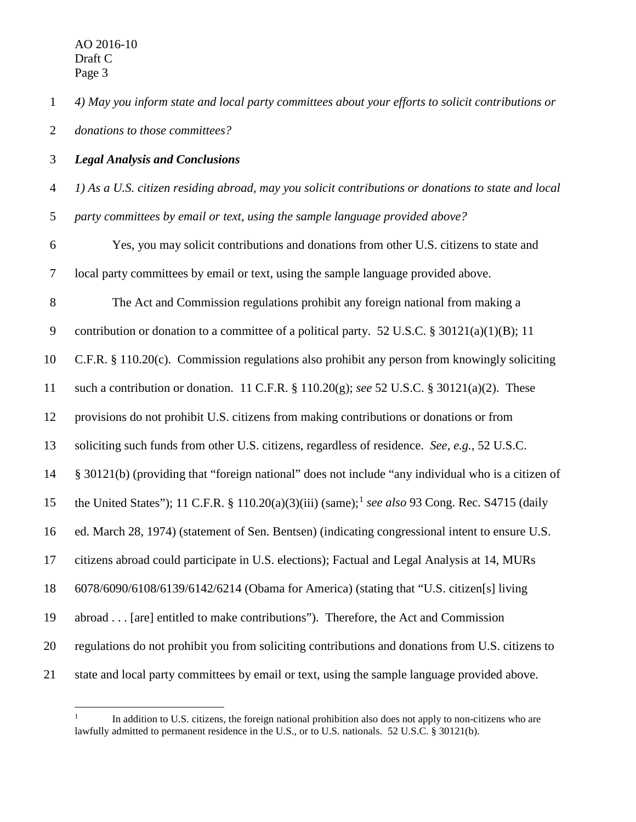*4) May you inform state and local party committees about your efforts to solicit contributions or donations to those committees?*

*Legal Analysis and Conclusions*

- *1) As a U.S. citizen residing abroad, may you solicit contributions or donations to state and local*
- *party committees by email or text, using the sample language provided above?*
- Yes, you may solicit contributions and donations from other U.S. citizens to state and local party committees by email or text, using the sample language provided above.
- The Act and Commission regulations prohibit any foreign national from making a
- contribution or donation to a committee of a political party. 52 U.S.C. § 30121(a)(1)(B); 11
- C.F.R. § 110.20(c). Commission regulations also prohibit any person from knowingly soliciting
- such a contribution or donation. 11 C.F.R. § 110.20(g); *see* 52 U.S.C. § 30121(a)(2). These
- provisions do not prohibit U.S. citizens from making contributions or donations or from
- soliciting such funds from other U.S. citizens, regardless of residence. *See, e.g.*, 52 U.S.C.
- § 30121(b) (providing that "foreign national" does not include "any individual who is a citizen of
- 5 the United States"); 11 C.F.R. § 110.20(a)(3)(iii) (same);<sup>1</sup> see also 93 Cong. Rec. S4715 (daily
- ed. March 28, 1974) (statement of Sen. Bentsen) (indicating congressional intent to ensure U.S.
- citizens abroad could participate in U.S. elections); Factual and Legal Analysis at 14, MURs
- 6078/6090/6108/6139/6142/6214 (Obama for America) (stating that "U.S. citizen[s] living
- abroad . . . [are] entitled to make contributions"). Therefore, the Act and Commission
- regulations do not prohibit you from soliciting contributions and donations from U.S. citizens to
- <span id="page-3-0"></span>state and local party committees by email or text, using the sample language provided above.

In addition to U.S. citizens, the foreign national prohibition also does not apply to non-citizens who are lawfully admitted to permanent residence in the U.S., or to U.S. nationals. 52 U.S.C. § 30121(b).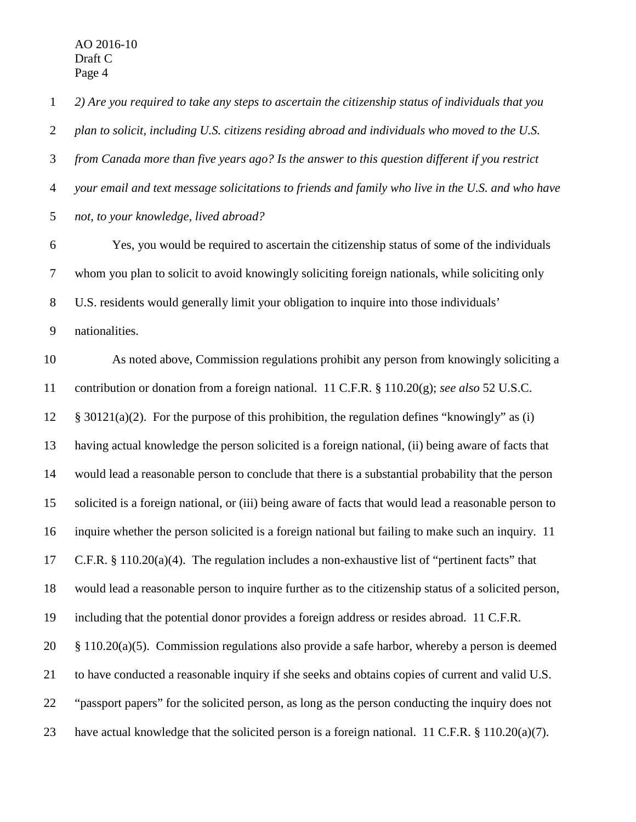AO 2016-10 Draft C Page 4

 *2) Are you required to take any steps to ascertain the citizenship status of individuals that you plan to solicit, including U.S. citizens residing abroad and individuals who moved to the U.S. from Canada more than five years ago? Is the answer to this question different if you restrict your email and text message solicitations to friends and family who live in the U.S. and who have not, to your knowledge, lived abroad?* Yes, you would be required to ascertain the citizenship status of some of the individuals whom you plan to solicit to avoid knowingly soliciting foreign nationals, while soliciting only U.S. residents would generally limit your obligation to inquire into those individuals' nationalities. As noted above, Commission regulations prohibit any person from knowingly soliciting a contribution or donation from a foreign national. 11 C.F.R. § 110.20(g); *see also* 52 U.S.C.  $\&$  30121(a)(2). For the purpose of this prohibition, the regulation defines "knowingly" as (i) having actual knowledge the person solicited is a foreign national, (ii) being aware of facts that would lead a reasonable person to conclude that there is a substantial probability that the person solicited is a foreign national, or (iii) being aware of facts that would lead a reasonable person to inquire whether the person solicited is a foreign national but failing to make such an inquiry. 11 C.F.R. § 110.20(a)(4). The regulation includes a non-exhaustive list of "pertinent facts" that would lead a reasonable person to inquire further as to the citizenship status of a solicited person, including that the potential donor provides a foreign address or resides abroad. 11 C.F.R. § 110.20(a)(5). Commission regulations also provide a safe harbor, whereby a person is deemed to have conducted a reasonable inquiry if she seeks and obtains copies of current and valid U.S. "passport papers" for the solicited person, as long as the person conducting the inquiry does not have actual knowledge that the solicited person is a foreign national. 11 C.F.R. § 110.20(a)(7).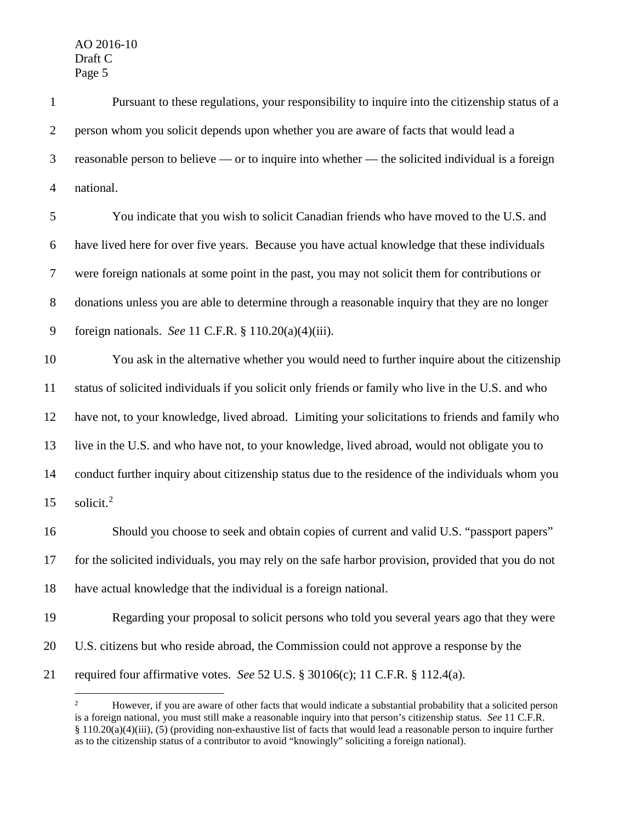| $\mathbf{1}$   | Pursuant to these regulations, your responsibility to inquire into the citizenship status of a     |
|----------------|----------------------------------------------------------------------------------------------------|
| $\overline{2}$ | person whom you solicit depends upon whether you are aware of facts that would lead a              |
| $\mathfrak{Z}$ | reasonable person to believe — or to inquire into whether — the solicited individual is a foreign  |
| $\overline{4}$ | national.                                                                                          |
| 5              | You indicate that you wish to solicit Canadian friends who have moved to the U.S. and              |
| 6              | have lived here for over five years. Because you have actual knowledge that these individuals      |
| $\overline{7}$ | were foreign nationals at some point in the past, you may not solicit them for contributions or    |
| $8\,$          | donations unless you are able to determine through a reasonable inquiry that they are no longer    |
| 9              | foreign nationals. See 11 C.F.R. $\S$ 110.20(a)(4)(iii).                                           |
| 10             | You ask in the alternative whether you would need to further inquire about the citizenship         |
| 11             | status of solicited individuals if you solicit only friends or family who live in the U.S. and who |
| 12             | have not, to your knowledge, lived abroad. Limiting your solicitations to friends and family who   |
| 13             | live in the U.S. and who have not, to your knowledge, lived abroad, would not obligate you to      |
| 14             | conduct further inquiry about citizenship status due to the residence of the individuals whom you  |
| 15             | solicit. <sup>2</sup>                                                                              |
| 16             | Should you choose to seek and obtain copies of current and valid U.S. "passport papers"            |
| 17             | for the solicited individuals, you may rely on the safe harbor provision, provided that you do not |
| 18             | have actual knowledge that the individual is a foreign national.                                   |
| 19             | Regarding your proposal to solicit persons who told you several years ago that they were           |
| 20             | U.S. citizens but who reside abroad, the Commission could not approve a response by the            |
| 21             | required four affirmative votes. See 52 U.S. § 30106(c); 11 C.F.R. § 112.4(a).                     |

<span id="page-5-0"></span><sup>&</sup>lt;sup>2</sup> However, if you are aware of other facts that would indicate a substantial probability that a solicited person is a foreign national, you must still make a reasonable inquiry into that person's citizenship status. *See* 11 C.F.R. § 110.20(a)(4)(iii), (5) (providing non-exhaustive list of facts that would lead a reasonable person to inquire further as to the citizenship status of a contributor to avoid "knowingly" soliciting a foreign national).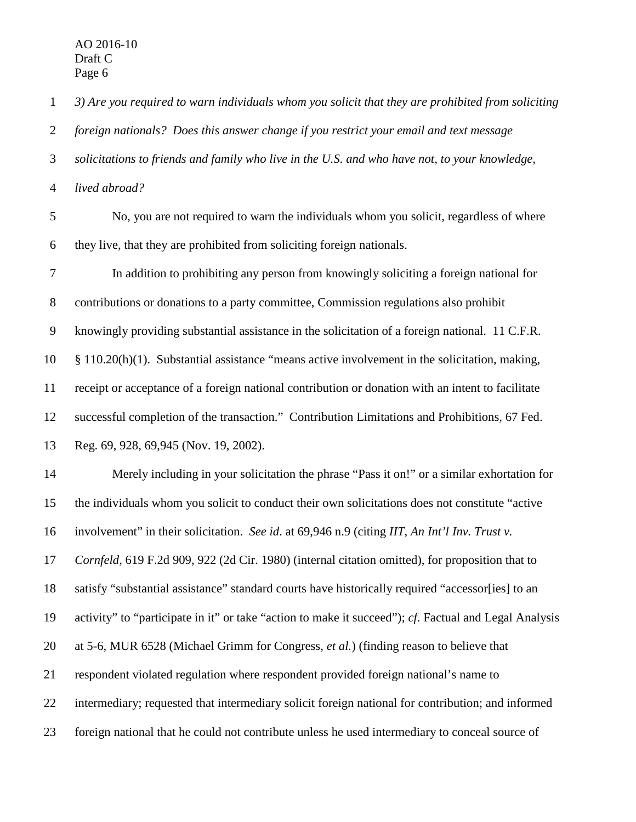*3) Are you required to warn individuals whom you solicit that they are prohibited from soliciting* 

*foreign nationals? Does this answer change if you restrict your email and text message* 

*solicitations to friends and family who live in the U.S. and who have not, to your knowledge,* 

*lived abroad?* 

 No, you are not required to warn the individuals whom you solicit, regardless of where they live, that they are prohibited from soliciting foreign nationals.

 In addition to prohibiting any person from knowingly soliciting a foreign national for contributions or donations to a party committee, Commission regulations also prohibit knowingly providing substantial assistance in the solicitation of a foreign national. 11 C.F.R. § 110.20(h)(1). Substantial assistance "means active involvement in the solicitation, making, receipt or acceptance of a foreign national contribution or donation with an intent to facilitate successful completion of the transaction." Contribution Limitations and Prohibitions, 67 Fed. Reg. 69, 928, 69,945 (Nov. 19, 2002).

 Merely including in your solicitation the phrase "Pass it on!" or a similar exhortation for the individuals whom you solicit to conduct their own solicitations does not constitute "active involvement" in their solicitation. *See id*. at 69,946 n.9 (citing *IIT, An Int'l Inv. Trust v. Cornfeld*, 619 F.2d 909, 922 (2d Cir. 1980) (internal citation omitted), for proposition that to satisfy "substantial assistance" standard courts have historically required "accessor[ies] to an activity" to "participate in it" or take "action to make it succeed"); *cf*. Factual and Legal Analysis at 5-6, MUR 6528 (Michael Grimm for Congress, *et al.*) (finding reason to believe that respondent violated regulation where respondent provided foreign national's name to intermediary; requested that intermediary solicit foreign national for contribution; and informed foreign national that he could not contribute unless he used intermediary to conceal source of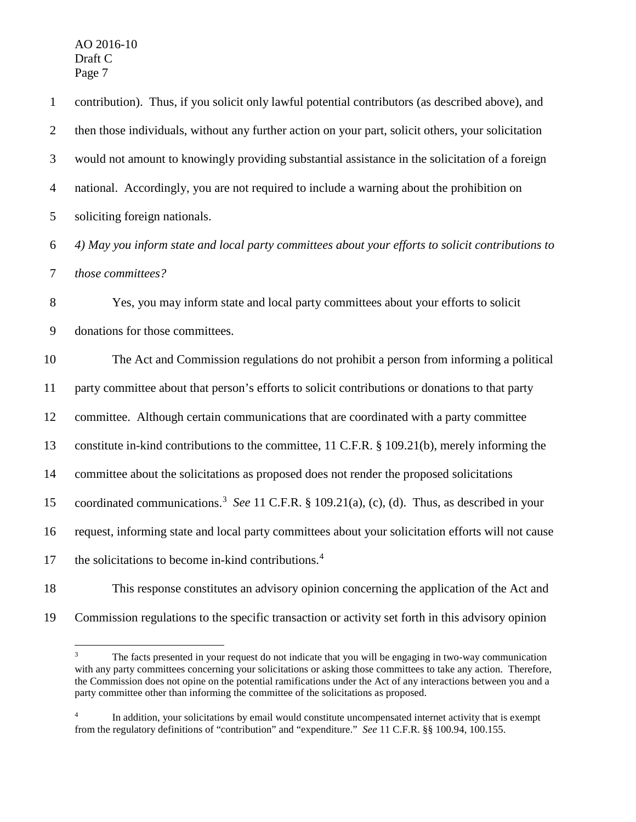AO 2016-10 Draft C Page 7

 contribution). Thus, if you solicit only lawful potential contributors (as described above), and then those individuals, without any further action on your part, solicit others, your solicitation would not amount to knowingly providing substantial assistance in the solicitation of a foreign national. Accordingly, you are not required to include a warning about the prohibition on soliciting foreign nationals. *4) May you inform state and local party committees about your efforts to solicit contributions to those committees?* Yes, you may inform state and local party committees about your efforts to solicit donations for those committees. The Act and Commission regulations do not prohibit a person from informing a political party committee about that person's efforts to solicit contributions or donations to that party committee. Although certain communications that are coordinated with a party committee constitute in-kind contributions to the committee, 11 C.F.R. § 109.21(b), merely informing the committee about the solicitations as proposed does not render the proposed solicitations 15 coordinated communications.<sup>[3](#page-7-0)</sup> See 11 C.F.R. § 109.21(a), (c), (d). Thus, as described in your request, informing state and local party committees about your solicitation efforts will not cause 17 the solicitations to become in-kind contributions.<sup>[4](#page-7-1)</sup>

 This response constitutes an advisory opinion concerning the application of the Act and Commission regulations to the specific transaction or activity set forth in this advisory opinion

<span id="page-7-0"></span>The facts presented in your request do not indicate that you will be engaging in two-way communication with any party committees concerning your solicitations or asking those committees to take any action. Therefore, the Commission does not opine on the potential ramifications under the Act of any interactions between you and a party committee other than informing the committee of the solicitations as proposed.

<span id="page-7-1"></span>In addition, your solicitations by email would constitute uncompensated internet activity that is exempt from the regulatory definitions of "contribution" and "expenditure." *See* 11 C.F.R. §§ 100.94, 100.155.